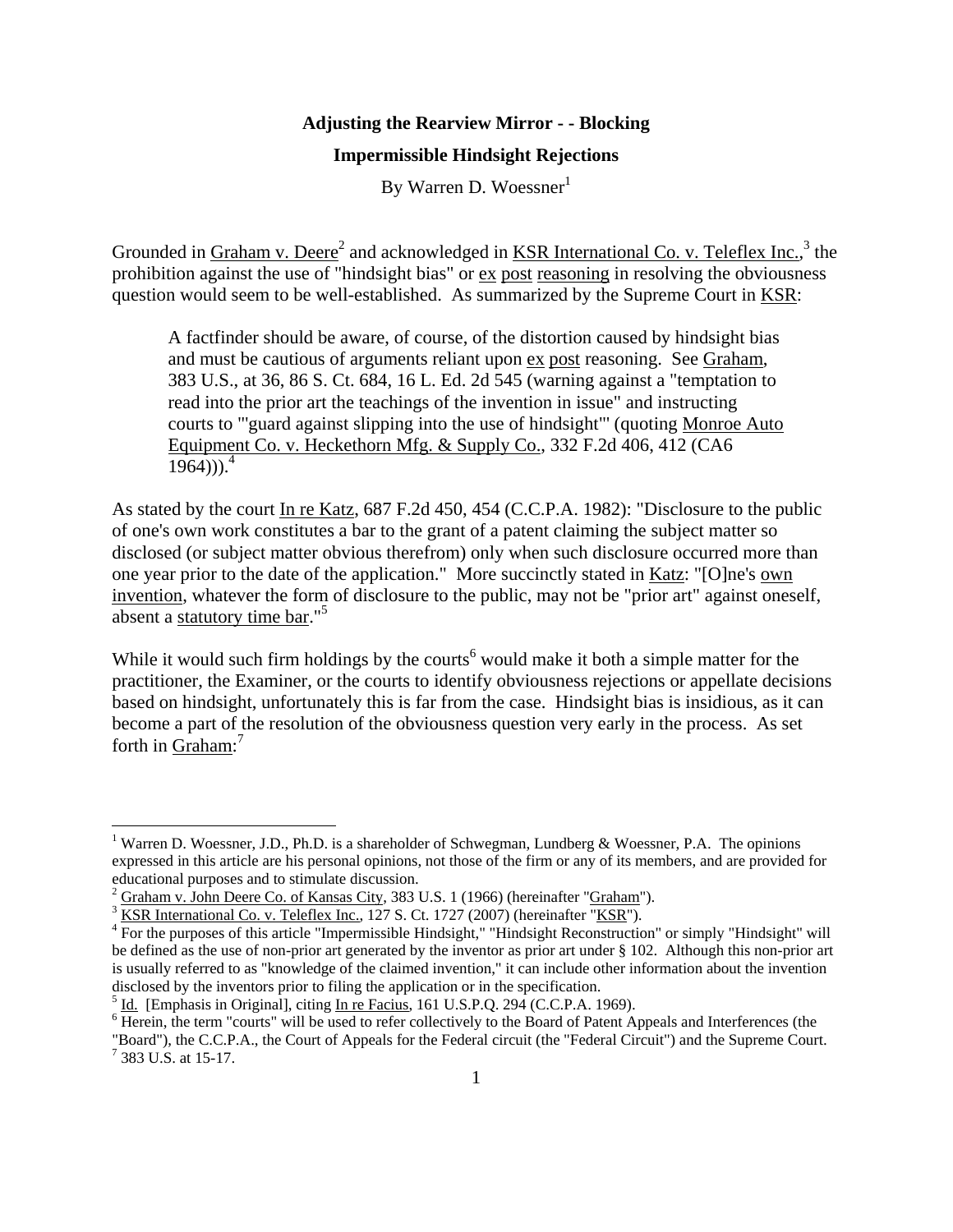## **Adjusting the Rearview Mirror - - Blocking**

## **Impermissible Hindsight Rejections**

By Warren D. Woessner<sup>1</sup>

Grounded in Graham v. Deere<sup>2</sup> and acknowledged in KSR International Co. v. Teleflex Inc.,<sup>3</sup> the prohibition against the use of "hindsight bias" or ex post reasoning in resolving the obviousness question would seem to be well-established. As summarized by the Supreme Court in KSR:

A factfinder should be aware, of course, of the distortion caused by hindsight bias and must be cautious of arguments reliant upon ex post reasoning. See Graham, 383 U.S., at 36, 86 S. Ct. 684, 16 L. Ed. 2d 545 (warning against a "temptation to read into the prior art the teachings of the invention in issue" and instructing courts to "'guard against slipping into the use of hindsight"' (quoting Monroe Auto Equipment Co. v. Heckethorn Mfg. & Supply Co., 332 F.2d 406, 412 (CA6  $1964$ )).<sup>4</sup>

As stated by the court In re Katz, 687 F.2d 450, 454 (C.C.P.A. 1982): "Disclosure to the public of one's own work constitutes a bar to the grant of a patent claiming the subject matter so disclosed (or subject matter obvious therefrom) only when such disclosure occurred more than one year prior to the date of the application." More succinctly stated in Katz: "[O]ne's own invention, whatever the form of disclosure to the public, may not be "prior art" against oneself, absent a statutory time bar."<sup>5</sup>

While it would such firm holdings by the courts<sup>6</sup> would make it both a simple matter for the practitioner, the Examiner, or the courts to identify obviousness rejections or appellate decisions based on hindsight, unfortunately this is far from the case. Hindsight bias is insidious, as it can become a part of the resolution of the obviousness question very early in the process. As set forth in Graham:<sup>7</sup>

383 U.S. at 15-17.

<sup>&</sup>lt;sup>1</sup> Warren D. Woessner, J.D., Ph.D. is a shareholder of Schwegman, Lundberg & Woessner, P.A. The opinions expressed in this article are his personal opinions, not those of the firm or any of its members, and are provided for educational purposes and to stimulate discussion.

<sup>2</sup> Graham v. John Deere Co. of Kansas City, 383 U.S. 1 (1966) (hereinafter "Graham").

 $3$  KSR International Co. v. Teleflex Inc., 127 S. Ct. 1727 (2007) (hereinafter "KSR").

<sup>&</sup>lt;sup>4</sup> For the purposes of this article "Impermissible Hindsight," "Hindsight Reconstruction" or simply "Hindsight" will be defined as the use of non-prior art generated by the inventor as prior art under § 102. Although this non-prior art is usually referred to as "knowledge of the claimed invention," it can include other information about the invention disclosed by the inventors prior to filing the application or in the specification.

 $^5$  <u>Id.</u> [Emphasis in Original], citing In re Facius, 161 U.S.P.Q. 294 (C.C.P.A. 1969).

<sup>&</sup>lt;sup>6</sup> Herein, the term "courts" will be used to refer collectively to the Board of Patent Appeals and Interferences (the "Board"), the C.C.P.A., the Court of Appeals for the Federal circuit (the "Federal Circuit") and the Supreme Court. 7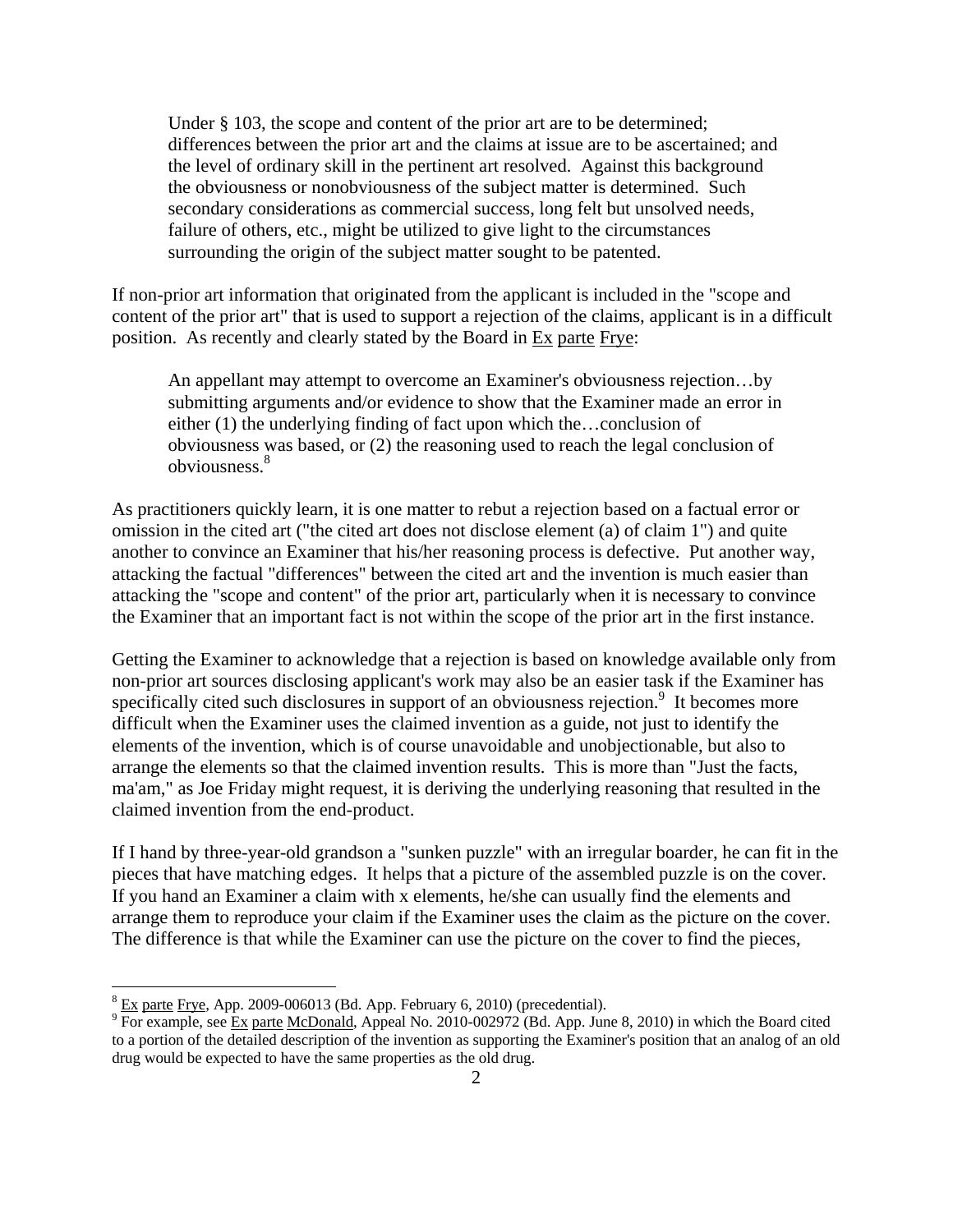Under  $\S$  103, the scope and content of the prior art are to be determined; differences between the prior art and the claims at issue are to be ascertained; and the level of ordinary skill in the pertinent art resolved. Against this background the obviousness or nonobviousness of the subject matter is determined. Such secondary considerations as commercial success, long felt but unsolved needs, failure of others, etc., might be utilized to give light to the circumstances surrounding the origin of the subject matter sought to be patented.

If non-prior art information that originated from the applicant is included in the "scope and content of the prior art" that is used to support a rejection of the claims, applicant is in a difficult position. As recently and clearly stated by the Board in Ex parte Frye:

An appellant may attempt to overcome an Examiner's obviousness rejection…by submitting arguments and/or evidence to show that the Examiner made an error in either (1) the underlying finding of fact upon which the…conclusion of obviousness was based, or (2) the reasoning used to reach the legal conclusion of obviousness.<sup>8</sup>

As practitioners quickly learn, it is one matter to rebut a rejection based on a factual error or omission in the cited art ("the cited art does not disclose element (a) of claim 1") and quite another to convince an Examiner that his/her reasoning process is defective. Put another way, attacking the factual "differences" between the cited art and the invention is much easier than attacking the "scope and content" of the prior art, particularly when it is necessary to convince the Examiner that an important fact is not within the scope of the prior art in the first instance.

Getting the Examiner to acknowledge that a rejection is based on knowledge available only from non-prior art sources disclosing applicant's work may also be an easier task if the Examiner has specifically cited such disclosures in support of an obviousness rejection.<sup>9</sup> It becomes more difficult when the Examiner uses the claimed invention as a guide, not just to identify the elements of the invention, which is of course unavoidable and unobjectionable, but also to arrange the elements so that the claimed invention results. This is more than "Just the facts, ma'am," as Joe Friday might request, it is deriving the underlying reasoning that resulted in the claimed invention from the end-product.

If I hand by three-year-old grandson a "sunken puzzle" with an irregular boarder, he can fit in the pieces that have matching edges. It helps that a picture of the assembled puzzle is on the cover. If you hand an Examiner a claim with x elements, he/she can usually find the elements and arrange them to reproduce your claim if the Examiner uses the claim as the picture on the cover. The difference is that while the Examiner can use the picture on the cover to find the pieces,

 $\frac{8}{2}$  Ex parte Frye, App. 2009-006013 (Bd. App. February 6, 2010) (precedential).

<sup>&</sup>lt;sup>9</sup> For example, see Ex parte McDonald, Appeal No. 2010-002972 (Bd. App. June 8, 2010) in which the Board cited to a portion of the detailed description of the invention as supporting the Examiner's position that an analog of an old drug would be expected to have the same properties as the old drug.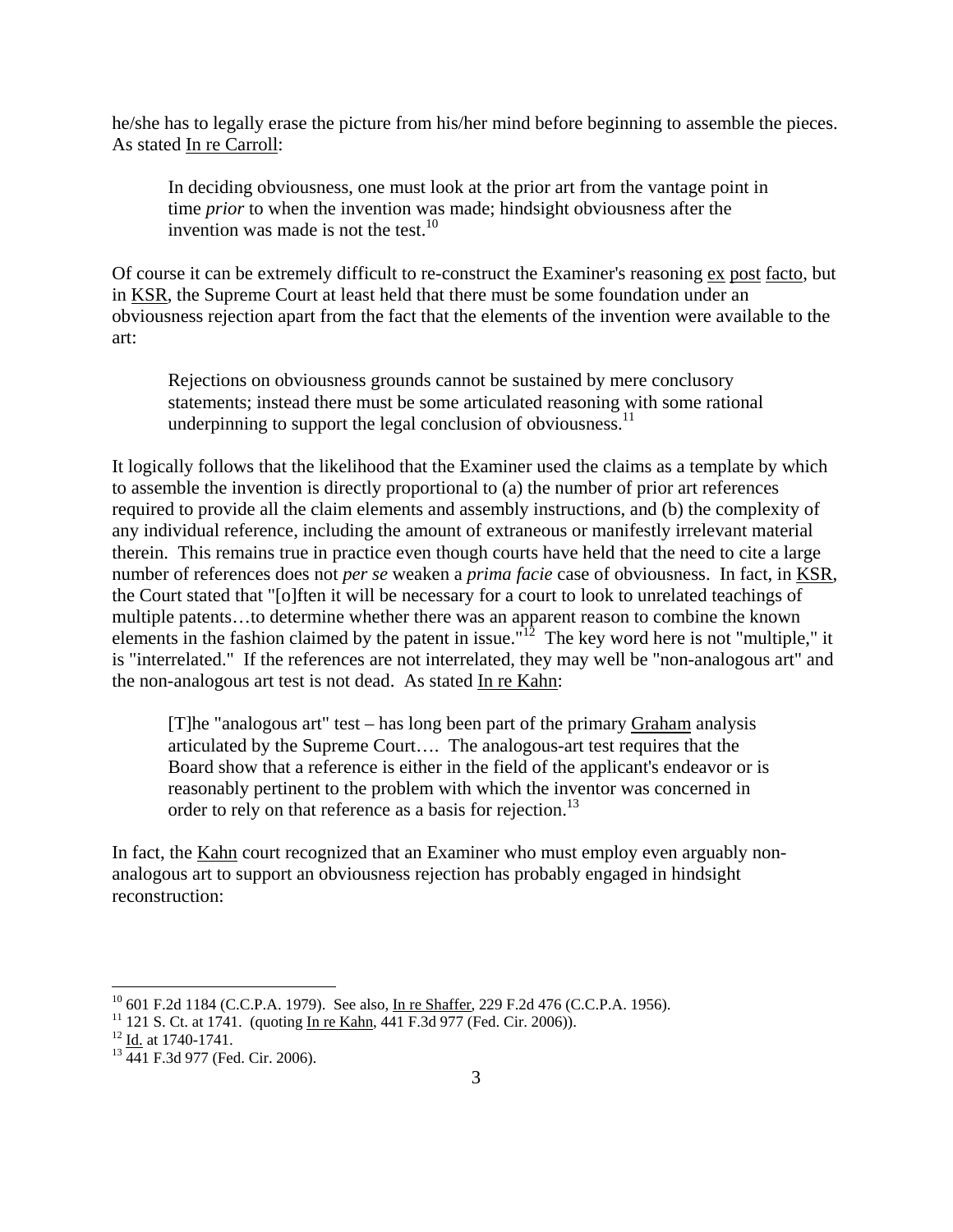he/she has to legally erase the picture from his/her mind before beginning to assemble the pieces. As stated In re Carroll:

In deciding obviousness, one must look at the prior art from the vantage point in time *prior* to when the invention was made; hindsight obviousness after the invention was made is not the test. $10$ 

Of course it can be extremely difficult to re-construct the Examiner's reasoning ex post facto, but in KSR, the Supreme Court at least held that there must be some foundation under an obviousness rejection apart from the fact that the elements of the invention were available to the art:

Rejections on obviousness grounds cannot be sustained by mere conclusory statements; instead there must be some articulated reasoning with some rational underpinning to support the legal conclusion of obviousness.<sup>11</sup>

It logically follows that the likelihood that the Examiner used the claims as a template by which to assemble the invention is directly proportional to (a) the number of prior art references required to provide all the claim elements and assembly instructions, and (b) the complexity of any individual reference, including the amount of extraneous or manifestly irrelevant material therein. This remains true in practice even though courts have held that the need to cite a large number of references does not *per se* weaken a *prima facie* case of obviousness. In fact, in KSR, the Court stated that "[o]ften it will be necessary for a court to look to unrelated teachings of multiple patents…to determine whether there was an apparent reason to combine the known elements in the fashion claimed by the patent in issue.<sup>"12</sup> The key word here is not "multiple," it is "interrelated." If the references are not interrelated, they may well be "non-analogous art" and the non-analogous art test is not dead. As stated In re Kahn:

[T]he "analogous art" test – has long been part of the primary Graham analysis articulated by the Supreme Court…. The analogous-art test requires that the Board show that a reference is either in the field of the applicant's endeavor or is reasonably pertinent to the problem with which the inventor was concerned in order to rely on that reference as a basis for rejection.<sup>13</sup>

In fact, the Kahn court recognized that an Examiner who must employ even arguably nonanalogous art to support an obviousness rejection has probably engaged in hindsight reconstruction:

<sup>&</sup>lt;sup>10</sup> 601 F.2d 1184 (C.C.P.A. 1979). See also, <u>In re Shaffer</u>, 229 F.2d 476 (C.C.P.A. 1956).<br><sup>11</sup> 121 S. Ct. at 1741. (quoting <u>In re Kahn</u>, 441 F.3d 977 (Fed. Cir. 2006)).<br><sup>12</sup> <u>Id.</u> at 1740-1741.<br><sup>13</sup> 441 F.3d 977 (Fed.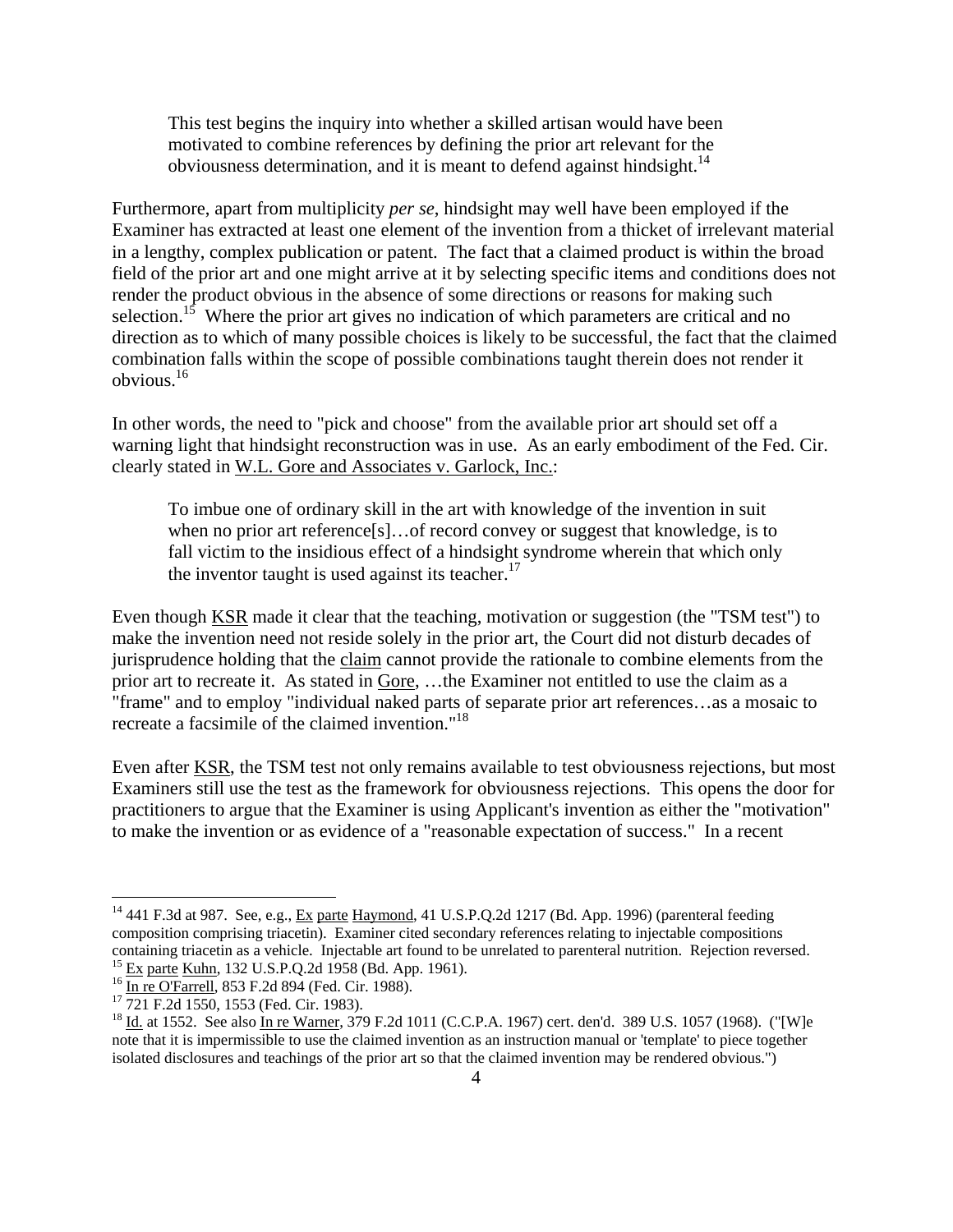This test begins the inquiry into whether a skilled artisan would have been motivated to combine references by defining the prior art relevant for the obviousness determination, and it is meant to defend against hindsight.<sup>14</sup>

Furthermore, apart from multiplicity *per se*, hindsight may well have been employed if the Examiner has extracted at least one element of the invention from a thicket of irrelevant material in a lengthy, complex publication or patent. The fact that a claimed product is within the broad field of the prior art and one might arrive at it by selecting specific items and conditions does not render the product obvious in the absence of some directions or reasons for making such selection.<sup>15</sup> Where the prior art gives no indication of which parameters are critical and no direction as to which of many possible choices is likely to be successful, the fact that the claimed combination falls within the scope of possible combinations taught therein does not render it obvious.16

In other words, the need to "pick and choose" from the available prior art should set off a warning light that hindsight reconstruction was in use. As an early embodiment of the Fed. Cir. clearly stated in W.L. Gore and Associates v. Garlock, Inc.:

To imbue one of ordinary skill in the art with knowledge of the invention in suit when no prior art reference[s]...of record convey or suggest that knowledge, is to fall victim to the insidious effect of a hindsight syndrome wherein that which only the inventor taught is used against its teacher.<sup>17</sup>

Even though KSR made it clear that the teaching, motivation or suggestion (the "TSM test") to make the invention need not reside solely in the prior art, the Court did not disturb decades of jurisprudence holding that the claim cannot provide the rationale to combine elements from the prior art to recreate it. As stated in Gore, …the Examiner not entitled to use the claim as a "frame" and to employ "individual naked parts of separate prior art references…as a mosaic to recreate a facsimile of the claimed invention."18

Even after KSR, the TSM test not only remains available to test obviousness rejections, but most Examiners still use the test as the framework for obviousness rejections. This opens the door for practitioners to argue that the Examiner is using Applicant's invention as either the "motivation" to make the invention or as evidence of a "reasonable expectation of success." In a recent

 $^{14}$  441 F.3d at 987. See, e.g., Ex parte Haymond, 41 U.S.P.Q.2d 1217 (Bd. App. 1996) (parenteral feeding composition comprising triacetin). Examiner cited secondary references relating to injectable compositions containing triacetin as a vehicle. Injectable art found to be unrelated to parenteral nutrition. Rejection reversed.<br><sup>15</sup> Ex parte Kuhn, 132 U.S.P.Q.2d 1958 (Bd. App. 1961).<br><sup>16</sup> In re O'Farrell, 853 F.2d 894 (Fed. Cir. 1

<sup>18</sup> Id. at 1552. See also In re Warner, 379 F.2d 1011 (C.C.P.A. 1967) cert. den'd. 389 U.S. 1057 (1968). ("[W]e note that it is impermissible to use the claimed invention as an instruction manual or 'template' to piece together isolated disclosures and teachings of the prior art so that the claimed invention may be rendered obvious.")